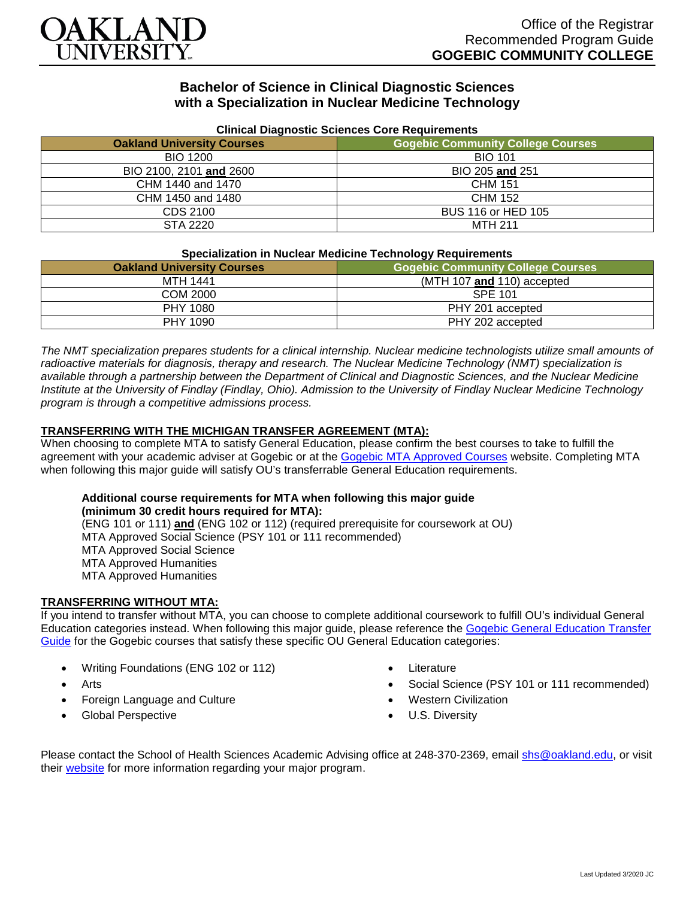

# **Bachelor of Science in Clinical Diagnostic Sciences with a Specialization in Nuclear Medicine Technology**

| <b>Oakland University Courses</b> | Clinical Diagnostic Sciences Core Requirements<br><b>Gogebic Community College Courses</b> |
|-----------------------------------|--------------------------------------------------------------------------------------------|
| <b>BIO 1200</b>                   | <b>BIO 101</b>                                                                             |
| BIO 2100, 2101 and 2600           | BIO 205 and 251                                                                            |
| CHM 1440 and 1470                 | <b>CHM 151</b>                                                                             |
| CHM 1450 and 1480                 | <b>CHM 152</b>                                                                             |
| CDS 2100                          | BUS 116 or HED 105                                                                         |
| STA 2220                          | MTH 211                                                                                    |

### **Clinical Diagnostic Sciences Core Requirements**

#### **Specialization in Nuclear Medicine Technology Requirements**

| <b>Oakland University Courses</b> | <b>Gogebic Community College Courses</b> |
|-----------------------------------|------------------------------------------|
| <b>MTH 1441</b>                   | $(MTH 107$ and 110) accepted             |
| <b>COM 2000</b>                   | <b>SPE 101</b>                           |
| PHY 1080                          | PHY 201 accepted                         |
| PHY 1090                          | PHY 202 accepted                         |

*The NMT specialization prepares students for a clinical internship. Nuclear medicine technologists utilize small amounts of radioactive materials for diagnosis, therapy and research. The Nuclear Medicine Technology (NMT) specialization is available through a partnership between the Department of Clinical and Diagnostic Sciences, and the Nuclear Medicine Institute at the University of Findlay (Findlay, Ohio). Admission to the University of Findlay Nuclear Medicine Technology program is through a competitive admissions process.*

### **TRANSFERRING WITH THE MICHIGAN TRANSFER AGREEMENT (MTA):**

When choosing to complete MTA to satisfy General Education, please confirm the best courses to take to fulfill the agreement with your academic adviser at Gogebic or at the [Gogebic MTA Approved Courses](https://www.gogebic.edu/Academics/transferinformation.html) website. Completing MTA when following this major guide will satisfy OU's transferrable General Education requirements.

# **Additional course requirements for MTA when following this major guide (minimum 30 credit hours required for MTA):**

(ENG 101 or 111) **and** (ENG 102 or 112) (required prerequisite for coursework at OU) MTA Approved Social Science (PSY 101 or 111 recommended) MTA Approved Social Science MTA Approved Humanities MTA Approved Humanities

#### **TRANSFERRING WITHOUT MTA:**

If you intend to transfer without MTA, you can choose to complete additional coursework to fulfill OU's individual General Education categories instead. When following this major guide, please reference the [Gogebic General Education Transfer](https://www.oakland.edu/Assets/Oakland/program-guides/gogebic-community-college/university-general-education-requirements/Gogebic%20Gen%20Ed.pdf)  [Guide](https://www.oakland.edu/Assets/Oakland/program-guides/gogebic-community-college/university-general-education-requirements/Gogebic%20Gen%20Ed.pdf) for the Gogebic courses that satisfy these specific OU General Education categories:

- Writing Foundations (ENG 102 or 112)
- **Arts**
- Foreign Language and Culture
- Global Perspective
- **Literature**
- Social Science (PSY 101 or 111 recommended)
- Western Civilization
- U.S. Diversity

Please contact the School of Health Sciences Academic Advising office at 248-370-2369, email [shs@oakland.edu,](mailto:shs@oakland.edu) or visit their [website](http://www.oakland.edu/shs/advising) for more information regarding your major program.